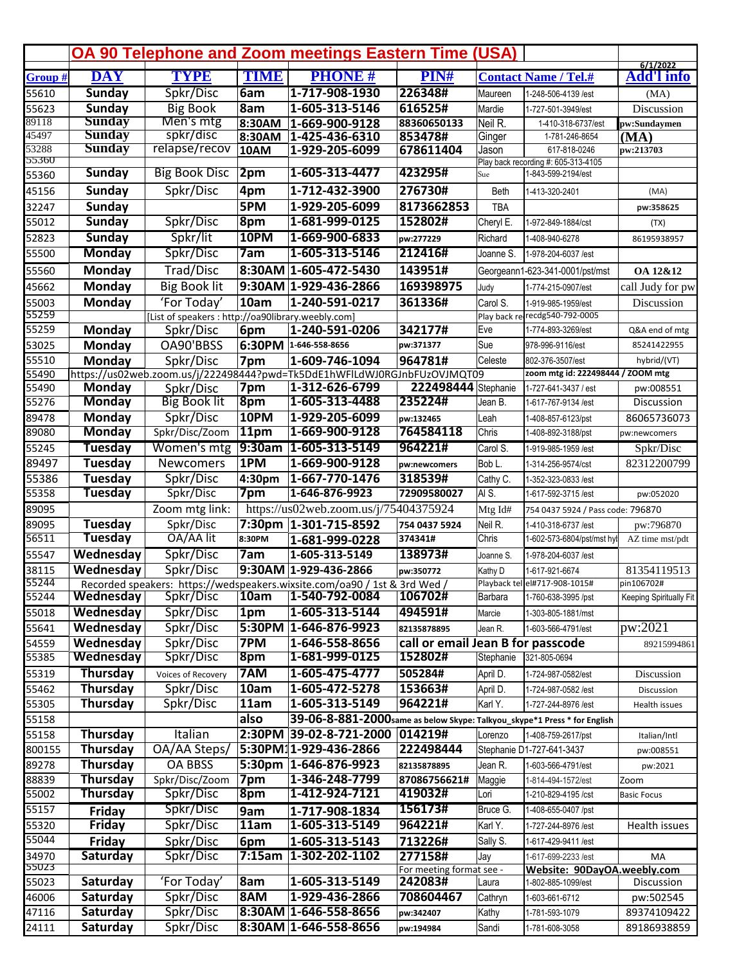|         |                 |                                                    |             | <b>OA 90 Telephone and Zoom meetings Eastern Time (USA)</b>               |                                   |             |                                     |                               |
|---------|-----------------|----------------------------------------------------|-------------|---------------------------------------------------------------------------|-----------------------------------|-------------|-------------------------------------|-------------------------------|
| Group # | <b>DAY</b>      | <b>TYPE</b>                                        | <b>TIME</b> | <b>PHONE#</b>                                                             | PIN#                              |             | <b>Contact Name / Tel.#</b>         | 6/1/2022<br><b>Add'l info</b> |
| 55610   | <b>Sunday</b>   | Spkr/Disc                                          | 6am         | 1-717-908-1930                                                            | 226348#                           | Maureen     | 1-248-506-4139 /est                 | (MA)                          |
| 55623   | <b>Sunday</b>   | <b>Big Book</b>                                    | 8am         | 1-605-313-5146                                                            | 616525#                           | Mardie      | 1-727-501-3949/est                  | Discussion                    |
| 89118   | <b>Sunday</b>   | Men's mtg                                          | 8:30AM      | 1-669-900-9128                                                            | 88360650133                       | Neil R.     | 1-410-318-6737/est                  | pw:Sundaymen                  |
| 45497   | <b>Sunday</b>   | spkr/disc                                          | 8:30AM      | 1-425-436-6310                                                            | 853478#                           | Ginger      | 1-781-246-8654                      | (MA)                          |
| 53288   | <b>Sunday</b>   | relapse/recov                                      | 10AM        | 1-929-205-6099                                                            | 678611404                         | Jason       | 617-818-0246                        | pw:213703                     |
| 55360   |                 |                                                    |             | 1-605-313-4477                                                            |                                   |             | Play back recording #: 605-313-4105 |                               |
| 55360   | <b>Sunday</b>   | <b>Big Book Disc</b>                               | 2pm         |                                                                           | 423295#                           | Sue         | 1-843-599-2194/est                  |                               |
| 45156   | Sunday          | Spkr/Disc                                          | 4pm         | 1-712-432-3900                                                            | 276730#                           | <b>Beth</b> | 1-413-320-2401                      | (MA)                          |
| 32247   | Sunday          |                                                    | 5PM         | 1-929-205-6099                                                            | 8173662853                        | <b>TBA</b>  |                                     | pw:358625                     |
| 55012   | <b>Sunday</b>   | Spkr/Disc                                          | 8pm         | 1-681-999-0125                                                            | 152802#                           | Cheryl E.   | 1-972-849-1884/cst                  | (TX)                          |
| 52823   | <b>Sunday</b>   | Spkr/lit                                           | 10PM        | 1-669-900-6833                                                            | pw:277229                         | Richard     | 1-408-940-6278                      | 86195938957                   |
| 55500   | <b>Monday</b>   | Spkr/Disc                                          | 7am         | 1-605-313-5146                                                            | 212416#                           | Joanne S.   | 1-978-204-6037 /est                 |                               |
| 55560   | Monday          | Trad/Disc                                          |             | 8:30AM 1-605-472-5430                                                     | 143951#                           |             | Georgeann1-623-341-0001/pst/mst     | OA 12&12                      |
| 45662   | Monday          | <b>Big Book lit</b>                                |             | 9:30AM 1-929-436-2866                                                     | 169398975                         | Judy        | 1-774-215-0907/est                  | call Judy for pw              |
| 55003   | Monday          | 'For Today'                                        | 10am        | 1-240-591-0217                                                            | 361336#                           | Carol S.    | 1-919-985-1959/est                  | Discussion                    |
| 55259   |                 | [List of speakers : http://oa90library.weebly.com] |             |                                                                           |                                   |             | Play back re-recdg540-792-0005      |                               |
| 55259   | Monday          | Spkr/Disc                                          | 6pm         | 1-240-591-0206                                                            | 342177#                           | Eve         | 1-774-893-3269/est                  | Q&A end of mtg                |
| 53025   | Monday          | OA90'BBSS                                          |             | 6:30PM 1-646-558-8656                                                     | pw:371377                         | Sue         | 978-996-9116/est                    | 85241422955                   |
| 55510   | Monday          | Spkr/Disc                                          | 7pm         | 1-609-746-1094                                                            | 964781#                           | Celeste     | 802-376-3507/est                    | hybrid/(VT)                   |
| 55490   |                 |                                                    |             | https://us02web.zoom.us/j/222498444?pwd=Tk5DdE1hWFlLdWJ0RGJnbFUzOVJMQT09  |                                   |             | zoom mtg id: 222498444 / ZOOM mtg   |                               |
| 55490   | Monday          | Spkr/Disc                                          | 7pm         | 1-312-626-6799                                                            | 222498444                         | Stephanie   | 1-727-641-3437 / est                | pw:008551                     |
| 55276   | <b>Monday</b>   | <b>Big Book lit</b>                                | $ 8$ pm     | 1-605-313-4488                                                            | 235224#                           | Jean B.     | 1-617-767-9134 /est                 | Discussion                    |
| 89478   | Monday          | Spkr/Disc                                          | 10PM        | 1-929-205-6099                                                            | pw:132465                         | Leah        | 1-408-857-6123/pst                  | 86065736073                   |
| 89080   | <b>Monday</b>   | Spkr/Disc/Zoom                                     | 11pm        | 1-669-900-9128                                                            | 764584118                         | Chris       | 1-408-892-3188/pst                  | pw:newcomers                  |
| 55245   | <b>Tuesday</b>  | Women's mtg                                        | $ 9:30$ am  | $1-605-313-5149$                                                          | 964221#                           | Carol S.    | 1-919-985-1959 /est                 | Spkr/Disc                     |
| 89497   | <b>Tuesday</b>  | <b>Newcomers</b>                                   | 1PM         | 1-669-900-9128                                                            | pw:newcomers                      | Bob L.      | 1-314-256-9574/cst                  | 82312200799                   |
| 55386   | Tuesday         | Spkr/Disc                                          | 4:30pm      | 1-667-770-1476                                                            | 318539#                           | Cathy C.    | 1-352-323-0833 /est                 |                               |
| 55358   | <b>Tuesday</b>  | Spkr/Disc                                          | 7pm         | 1-646-876-9923                                                            | 72909580027                       | IAI S.      | 1-617-592-3715 /est                 | pw:052020                     |
| 89095   |                 | Zoom mtg link:                                     |             | https://us02web.zoom.us/j/75404375924                                     |                                   | Mtg Id#     | 754 0437 5924 / Pass code: 796870   |                               |
| 89095   | Tuesday         | Spkr/Disc                                          |             | 7:30pm 1-301-715-8592                                                     | 754 0437 5924                     | Neil R.     | 1-410-318-6737 /est                 | pw:796870                     |
| 56511   | <b>Tuesday</b>  | OA/AA lit                                          | 8:30PM      | 1-681-999-0228                                                            | 374341#                           | Chris       | 1-602-573-6804/pst/mst hyl          | AZ time mst/pdt               |
| 55547   | Wednesday       | Spkr/Disc                                          | 7am         | 1-605-313-5149                                                            | 138973#                           | Joanne S.   | 1-978-204-6037 /est                 |                               |
| 38115   | Wednesday       | Spkr/Disc                                          |             | 9:30AM 1-929-436-2866                                                     |                                   | Kathy D     | 1-617-921-6674                      | 81354119513                   |
| 55244   |                 |                                                    |             | Recorded speakers: https://wedspeakers.wixsite.com/oa90 / 1st & 3rd Wed / | pw:350772                         |             | Playback tel el#717-908-1015#       | pin106702#                    |
| 55244   | Wednesday       | Spkr/Disc                                          | 10am        | 1-540-792-0084                                                            | 106702#                           | Barbara     | 1-760-638-3995 /pst                 | Keeping Spiritually Fit       |
| 55018   | Wednesday       | Spkr/Disc                                          | 1pm         | 1-605-313-5144                                                            | 494591#                           | Marcie      | 1-303-805-1881/mst                  |                               |
| 55641   | Wednesday       | Spkr/Disc                                          |             | 5:30PM 1-646-876-9923                                                     | 82135878895                       | Jean R.     | 1-603-566-4791/est                  | pw:2021                       |
| 54559   | Wednesday       | Spkr/Disc                                          | 7PM         | 1-646-558-8656                                                            | call or email Jean B for passcode |             |                                     | 89215994861                   |
| 55385   | Wednesday       | Spkr/Disc                                          | 8pm         | 1-681-999-0125                                                            | 152802#                           | Stephanie   | 321-805-0694                        |                               |
| 55319   | <b>Thursday</b> | Voices of Recovery                                 | 7AM         | 1-605-475-4777                                                            | 505284#                           | April D.    | 1-724-987-0582/est                  | Discussion                    |
| 55462   | Thursday        | Spkr/Disc                                          | 10am        | 1-605-472-5278                                                            | 153663#                           |             |                                     |                               |
|         | Thursday        | Spkr/Disc                                          | 11am        | 1-605-313-5149                                                            | 964221#                           | April D.    | 1-724-987-0582 /est                 | Discussion                    |
| 55305   |                 |                                                    |             |                                                                           |                                   | Karl Y.     | 1-727-244-8976 /est                 | Health issues                 |
| 55158   |                 |                                                    | also        | 39-06-8-881-2000 same as below Skype: Talkyou_skype*1 Press * for English |                                   |             |                                     |                               |
| 55158   | <b>Thursday</b> | Italian                                            |             | 2:30PM 39-02-8-721-2000                                                   | 014219#                           | Lorenzo     | 1-408-759-2617/pst                  | Italian/Intl                  |
| 800155  | Thursday        | OA/AA Steps/                                       |             | 5:30PM11-929-436-2866                                                     | 222498444                         |             | Stephanie D1-727-641-3437           | pw:008551                     |
| 89278   | Thursday        | <b>OA BBSS</b>                                     |             | 5:30pm 1-646-876-9923                                                     | 82135878895                       | Jean R.     | 1-603-566-4791/est                  | pw:2021                       |
| 88839   | Thursday        | Spkr/Disc/Zoom                                     | 7pm         | 1-346-248-7799                                                            | 87086756621#                      | Maggie      | 1-814-494-1572/est                  | Zoom                          |
| 55002   | <b>Thursday</b> | Spkr/Disc                                          | 8pm         | 1-412-924-7121                                                            | 419032#                           | Lori        | 1-210-829-4195 /cst                 | <b>Basic Focus</b>            |
| 55157   | Friday          | Spkr/Disc                                          | 9am         | 1-717-908-1834                                                            | 156173#                           | Bruce G.    | 1-408-655-0407 /pst                 |                               |
| 55320   | Friday          | Spkr/Disc                                          | 11am        | 1-605-313-5149                                                            | 964221#                           | Karl Y.     | 1-727-244-8976 /est                 | Health issues                 |
| 55044   | Friday          | Spkr/Disc                                          | 6pm         | 1-605-313-5143                                                            | 713226#                           | Sally S.    | 1-617-429-9411 /est                 |                               |
| 34970   | Saturday        | Spkr/Disc                                          | 7:15am      | $1-302-202-1102$                                                          | 277158#                           | Jay         | 1-617-699-2233 /est                 | МA                            |
| 55023   |                 |                                                    |             |                                                                           | For meeting format see -          |             | Website: 90DayOA.weebly.com         |                               |
| 55023   | Saturday        | 'For Today'                                        | <b>8am</b>  | 1-605-313-5149                                                            | 242083#                           | Laura       | 1-802-885-1099/est                  | Discussion                    |
| 46006   | <b>Saturday</b> | Spkr/Disc                                          | 8AM         | 1-929-436-2866                                                            | 708604467                         | Cathryn     | 1-603-661-6712                      | pw:502545                     |
| 47116   | Saturday        | Spkr/Disc                                          |             | 8:30AM 1-646-558-8656                                                     | pw:342407                         | Kathy       | 1-781-593-1079                      | 89374109422                   |
| 24111   | Saturday        | Spkr/Disc                                          |             | 8:30AM 1-646-558-8656                                                     | pw:194984                         | Sandi       | 1-781-608-3058                      | 89186938859                   |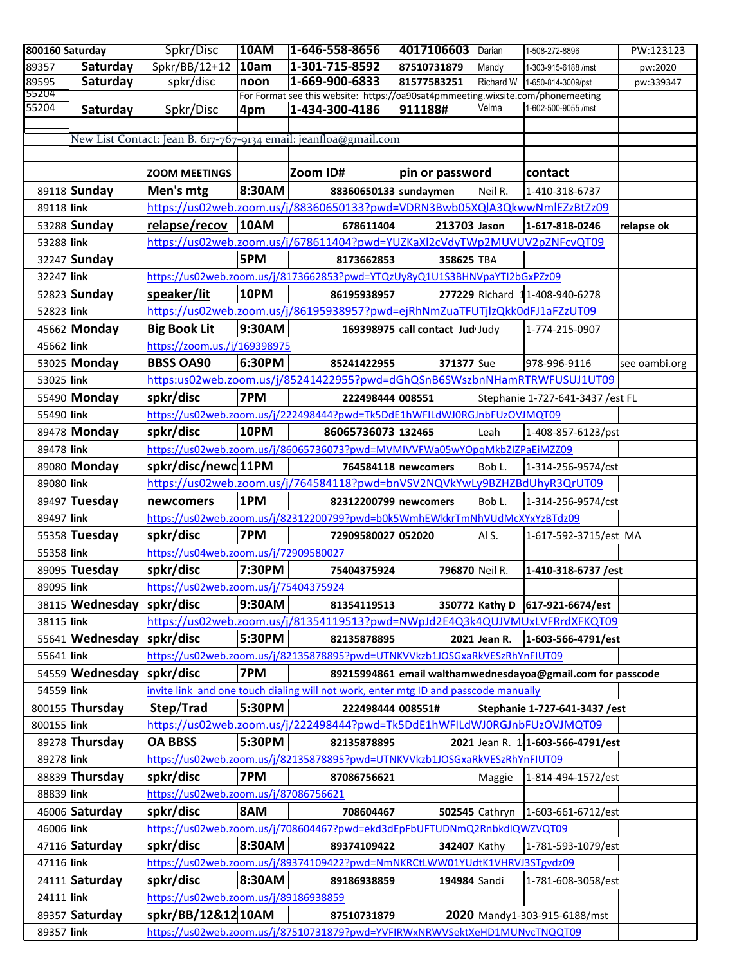|             | 800160 Saturday           | Spkr/Disc                             | <b>10AM</b> | 1-646-558-8656                                                                            | 4017106603 Darian               |                | 1-508-272-8896                                              | PW:123123     |
|-------------|---------------------------|---------------------------------------|-------------|-------------------------------------------------------------------------------------------|---------------------------------|----------------|-------------------------------------------------------------|---------------|
| 89357       | Saturday                  | Spkr/BB/12+12                         | 10am        | 1-301-715-8592                                                                            | 87510731879                     | Mandy          | 1-303-915-6188 /mst                                         | pw:2020       |
| 89595       | Saturday                  | spkr/disc                             | noon        | 1-669-900-6833                                                                            | 81577583251                     | Richard W      | 1-650-814-3009/pst                                          | pw:339347     |
| 55204       |                           |                                       |             | For Format see this website: https://oa90sat4pmmeeting.wixsite.com/phonemeeting           |                                 |                |                                                             |               |
| 55204       | Saturday                  | Spkr/Disc                             | 4pm         | 1-434-300-4186                                                                            | 911188#                         | Velma          | 1-602-500-9055 /mst                                         |               |
|             |                           |                                       |             |                                                                                           |                                 |                |                                                             |               |
|             |                           |                                       |             | New List Contact: Jean B. 617-767-9134 email: jeanfloa@gmail.com                          |                                 |                |                                                             |               |
|             |                           |                                       |             |                                                                                           |                                 |                |                                                             |               |
|             |                           | <b>ZOOM MEETINGS</b>                  |             | Zoom ID#                                                                                  | pin or password                 |                | contact                                                     |               |
|             | 89118 Sunday              | Men's mtg                             | 8:30AM      | 88360650133 sundaymen                                                                     |                                 | Neil R.        | 1-410-318-6737                                              |               |
| 89118 link  |                           |                                       |             | https://us02web.zoom.us/j/88360650133?pwd=VDRN3Bwb05XQIA3QkwwNmlEZzBtZz09                 |                                 |                |                                                             |               |
|             | 53288 Sunday              | relapse/recov                         | 10AM        | 678611404                                                                                 | 213703 Jason                    |                | 1-617-818-0246                                              | relapse ok    |
| 53288 link  |                           |                                       |             | https://us02web.zoom.us/j/678611404?pwd=YUZKaXl2cVdyTWp2MUVUV2pZNFcvQT09                  |                                 |                |                                                             |               |
|             | 32247 Sunday              |                                       | 5PM         | 8173662853                                                                                | 358625 TBA                      |                |                                                             |               |
| 32247 link  |                           |                                       |             | https://us02web.zoom.us/j/8173662853?pwd=YTQzUy8yQ1U1S3BHNVpaYTI2bGxPZz09                 |                                 |                |                                                             |               |
|             | 52823 Sunday              | speaker/lit                           | 10PM        | 86195938957                                                                               |                                 |                | 277229 Richard 11-408-940-6278                              |               |
| 52823 link  |                           |                                       |             | https://us02web.zoom.us/j/86195938957?pwd=ejRhNmZuaTFUTjlzQkk0dFJ1aFZzUT09                |                                 |                |                                                             |               |
|             | 45662 Monday              | <b>Big Book Lit</b>                   | 9:30AM      |                                                                                           | 169398975 call contact Jud Judy |                | 1-774-215-0907                                              |               |
| 45662 link  |                           | https://zoom.us./j/169398975          |             |                                                                                           |                                 |                |                                                             |               |
|             |                           | <b>BBSS OA90</b>                      | 6:30PM      |                                                                                           |                                 |                |                                                             |               |
|             | 53025 Monday              |                                       |             | 85241422955                                                                               | 371377 Sue                      |                | 978-996-9116                                                | see oambi.org |
| 53025 link  |                           |                                       |             | https:us02web.zoom.us/j/85241422955?pwd=dGhQSnB6SWszbnNHamRTRWFUSUJ1UT09                  |                                 |                |                                                             |               |
|             | 55490 Monday              | spkr/disc                             | 7PM         | 222498444 008551                                                                          |                                 |                | Stephanie 1-727-641-3437 / est FL                           |               |
| 55490 link  |                           |                                       |             | https://us02web.zoom.us/j/222498444?pwd=Tk5DdE1hWFILdWJ0RGJnbFUzOVJMQT09                  |                                 |                |                                                             |               |
|             | 89478 Monday              | spkr/disc                             | 10PM        | 86065736073 132465                                                                        |                                 | Leah           | 1-408-857-6123/pst                                          |               |
| 89478 link  |                           |                                       |             | https://us02web.zoom.us/j/86065736073?pwd=MVMIVVFWa05wYOpqMkbZIZPaEiMZZ09                 |                                 |                |                                                             |               |
|             | 89080 Monday              | spkr/disc/newc 11PM                   |             |                                                                                           | 764584118 newcomers             | Bob L.         | 1-314-256-9574/cst                                          |               |
| 89080 link  |                           |                                       |             | https://us02web.zoom.us/j/764584118?pwd=bnVSV2NQVkYwLy9BZHZBdUhyR3QrUT09                  |                                 |                |                                                             |               |
|             | 89497 Tuesday             | newcomers                             | 1PM         | 82312200799 newcomers                                                                     |                                 | Bob L.         | 1-314-256-9574/cst                                          |               |
| 89497 link  |                           |                                       |             |                                                                                           |                                 |                |                                                             |               |
|             |                           |                                       |             | https://us02web.zoom.us/j/82312200799?pwd=b0k5WmhEWkkrTmNhVUdMcXYxYzBTdz09                |                                 |                |                                                             |               |
|             |                           |                                       |             |                                                                                           |                                 |                |                                                             |               |
|             | 55358 Tuesday             | spkr/disc                             | 7PM         | 72909580027 052020                                                                        |                                 | Al S.          | 1-617-592-3715/est MA                                       |               |
| 55358 link  |                           | https://us04web.zoom.us/j/72909580027 |             |                                                                                           |                                 |                |                                                             |               |
|             | 89095 Tuesday             | spkr/disc                             | 7:30PM      | 75404375924                                                                               | 796870 Neil R.                  |                | 1-410-318-6737 / est                                        |               |
| 89095 link  |                           | https://us02web.zoom.us/j/75404375924 |             |                                                                                           |                                 |                |                                                             |               |
|             | 38115 Wednesday spkr/disc |                                       | 9:30AM      | 81354119513                                                                               |                                 |                | 350772 Kathy D   617-921-6674/est                           |               |
| 38115 link  |                           |                                       |             | https://us02web.zoom.us/j/81354119513?pwd=NWpJd2E4Q3k4QUJVMUxLVFRrdXFKQT09                |                                 |                |                                                             |               |
|             | 55641 Wednesday spkr/disc |                                       | 5:30PM      | 82135878895                                                                               |                                 | $2021$ Jean R. | $1-603-566-4791/est$                                        |               |
| 55641 link  |                           |                                       |             | https://us02web.zoom.us/j/82135878895?pwd=UTNKVVkzb1JOSGxaRkVESzRhYnFIUT09                |                                 |                |                                                             |               |
|             | 54559 Wednesday           | spkr/disc                             | 7PM         |                                                                                           |                                 |                | 89215994861 email walthamwednesdayoa@gmail.com for passcode |               |
| 54559 link  |                           |                                       |             | invite link and one touch dialing will not work, enter mtg ID and passcode manually       |                                 |                |                                                             |               |
|             | 800155 Thursday           | Step/Trad                             | 5:30PM      | 222498444 008551#                                                                         |                                 |                | Stephanie 1-727-641-3437 / est                              |               |
| 800155 link |                           |                                       |             | https://us02web.zoom.us/j/222498444?pwd=Tk5DdE1hWFILdWJ0RGJnbFUzOVJMQT09                  |                                 |                |                                                             |               |
|             | 89278 Thursday            | <b>OA BBSS</b>                        | 5:30PM      | 82135878895                                                                               |                                 |                | 2021 Jean R. 1 1-603-566-4791/est                           |               |
| 89278 link  |                           |                                       |             | https://us02web.zoom.us/j/82135878895?pwd=UTNKVVkzb1JOSGxaRkVESzRhYnFIUT09                |                                 |                |                                                             |               |
|             | 88839 Thursday            | spkr/disc                             | 7PM         | 87086756621                                                                               |                                 | Maggie         | 1-814-494-1572/est                                          |               |
|             |                           |                                       |             |                                                                                           |                                 |                |                                                             |               |
| 88839 link  |                           | https://us02web.zoom.us/j/87086756621 |             |                                                                                           |                                 |                |                                                             |               |
|             | 46006 Saturday            | spkr/disc                             | <b>8AM</b>  | 708604467                                                                                 |                                 |                | 502545 Cathryn   1-603-661-6712/est                         |               |
| 46006 link  |                           |                                       |             | https://us02web.zoom.us/j/708604467?pwd=ekd3dEpFbUFTUDNmQ2RnbkdlQWZVQT09                  |                                 |                |                                                             |               |
|             | 47116 Saturday            | spkr/disc                             | 8:30AM      | 89374109422                                                                               | 342407 Kathy                    |                | 1-781-593-1079/est                                          |               |
| 47116 link  |                           |                                       |             | https://us02web.zoom.us/j/89374109422?pwd=NmNKRCtLWW01YUdtK1VHRVJ3STgvdz09                |                                 |                |                                                             |               |
|             | 24111 Saturday            | spkr/disc                             | 8:30AM      | 89186938859                                                                               | 194984 Sandi                    |                | 1-781-608-3058/est                                          |               |
| 24111 link  |                           | https://us02web.zoom.us/j/89186938859 |             |                                                                                           |                                 |                |                                                             |               |
| 89357 link  | 89357 Saturday            | spkr/BB/12&12 10AM                    |             | 87510731879<br>https://us02web.zoom.us/j/87510731879?pwd=YVFIRWxNRWVSektXeHD1MUNvcTNQQT09 |                                 |                | 2020 Mandy1-303-915-6188/mst                                |               |